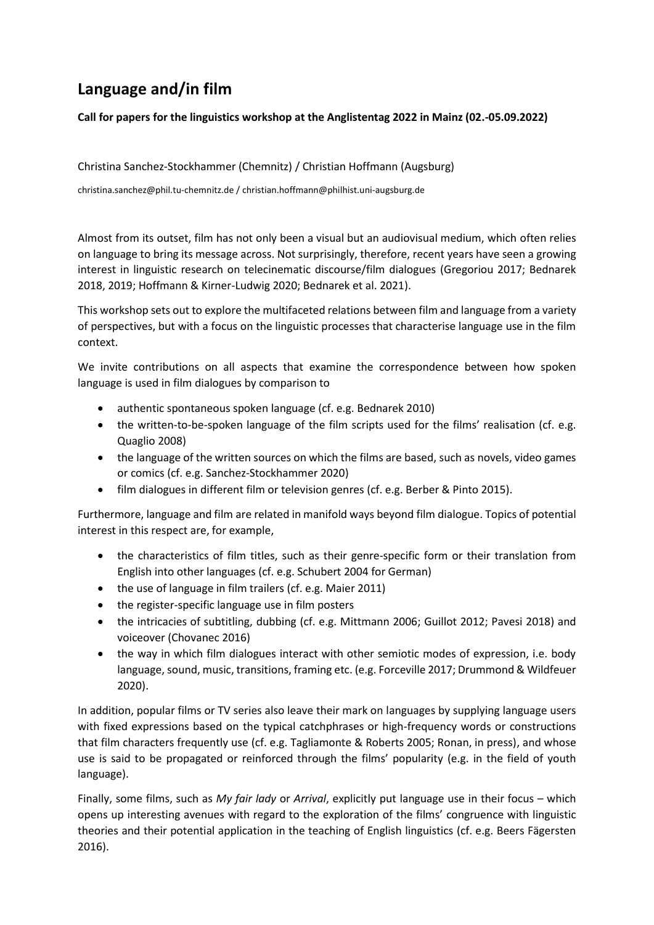## **Language and/in film**

## **Call for papers for the linguistics workshop at the Anglistentag 2022 in Mainz (02.-05.09.2022)**

Christina Sanchez-Stockhammer (Chemnitz) / Christian Hoffmann (Augsburg)

christina.sanchez@phil.tu-chemnitz.de / christian.hoffmann@philhist.uni-augsburg.de

Almost from its outset, film has not only been a visual but an audiovisual medium, which often relies on language to bring its message across. Not surprisingly, therefore, recent years have seen a growing interest in linguistic research on telecinematic discourse/film dialogues (Gregoriou 2017; Bednarek 2018, 2019; Hoffmann & Kirner-Ludwig 2020; Bednarek et al. 2021).

This workshop sets out to explore the multifaceted relations between film and language from a variety of perspectives, but with a focus on the linguistic processes that characterise language use in the film context.

We invite contributions on all aspects that examine the correspondence between how spoken language is used in film dialogues by comparison to

- authentic spontaneous spoken language (cf. e.g. Bednarek 2010)
- the written-to-be-spoken language of the film scripts used for the films' realisation (cf. e.g. Quaglio 2008)
- the language of the written sources on which the films are based, such as novels, video games or comics (cf. e.g. Sanchez-Stockhammer 2020)
- film dialogues in different film or television genres (cf. e.g. Berber & Pinto 2015).

Furthermore, language and film are related in manifold ways beyond film dialogue. Topics of potential interest in this respect are, for example,

- the characteristics of film titles, such as their genre-specific form or their translation from English into other languages (cf. e.g. Schubert 2004 for German)
- the use of language in film trailers (cf. e.g. Maier 2011)
- the register-specific language use in film posters
- the intricacies of subtitling, dubbing (cf. e.g. Mittmann 2006; Guillot 2012; Pavesi 2018) and voiceover (Chovanec 2016)
- the way in which film dialogues interact with other semiotic modes of expression, i.e. body language, sound, music, transitions, framing etc. (e.g. Forceville 2017; Drummond & Wildfeuer 2020).

In addition, popular films or TV series also leave their mark on languages by supplying language users with fixed expressions based on the typical catchphrases or high-frequency words or constructions that film characters frequently use (cf. e.g. Tagliamonte & Roberts 2005; Ronan, in press), and whose use is said to be propagated or reinforced through the films' popularity (e.g. in the field of youth language).

Finally, some films, such as *My fair lady* or *Arrival*, explicitly put language use in their focus – which opens up interesting avenues with regard to the exploration of the films' congruence with linguistic theories and their potential application in the teaching of English linguistics (cf. e.g. Beers Fägersten 2016).